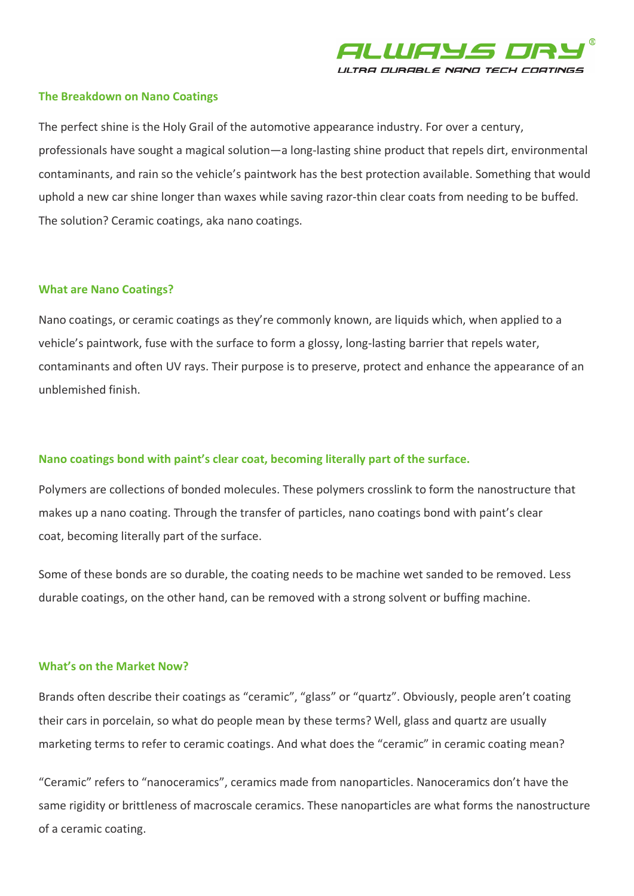

#### **The Breakdown on Nano Coatings**

The perfect shine is the Holy Grail of the automotive appearance industry. For over a century, professionals have sought a magical solution—a long-lasting shine product that repels dirt, environmental contaminants, and rain so the vehicle's paintwork has the best protection available. Something that would uphold a new car shine longer than waxes while saving razor-thin clear coats from needing to be buffed. The solution? Ceramic coatings, aka nano coatings.

### **What are Nano Coatings?**

Nano coatings, or ceramic coatings as they're commonly known, are liquids which, when applied to a vehicle's paintwork, fuse with the surface to form a glossy, long-lasting barrier that repels water, contaminants and often UV rays. Their purpose is to preserve, protect and enhance the appearance of an unblemished finish.

# **Nano coatings bond with paint's clear coat, becoming literally part of the surface.**

Polymers are collections of bonded molecules. These polymers crosslink to form the nanostructure that makes up a nano coating. Through the transfer of particles, nano coatings bond with paint's clear coat, becoming literally part of the surface.

Some of these bonds are so durable, the coating needs to be machine wet sanded to be removed. Less durable coatings, on the other hand, can be removed with a strong solvent or buffing machine.

# **What's on the Market Now?**

Brands often describe their coatings as "ceramic", "glass" or "quartz". Obviously, people aren't coating their cars in porcelain, so what do people mean by these terms? Well, glass and quartz are usually marketing terms to refer to ceramic coatings. And what does the "ceramic" in ceramic coating mean?

"Ceramic" refers to "nanoceramics", ceramics made from nanoparticles. Nanoceramics don't have the same rigidity or brittleness of macroscale ceramics. These nanoparticles are what forms the nanostructure of a ceramic coating.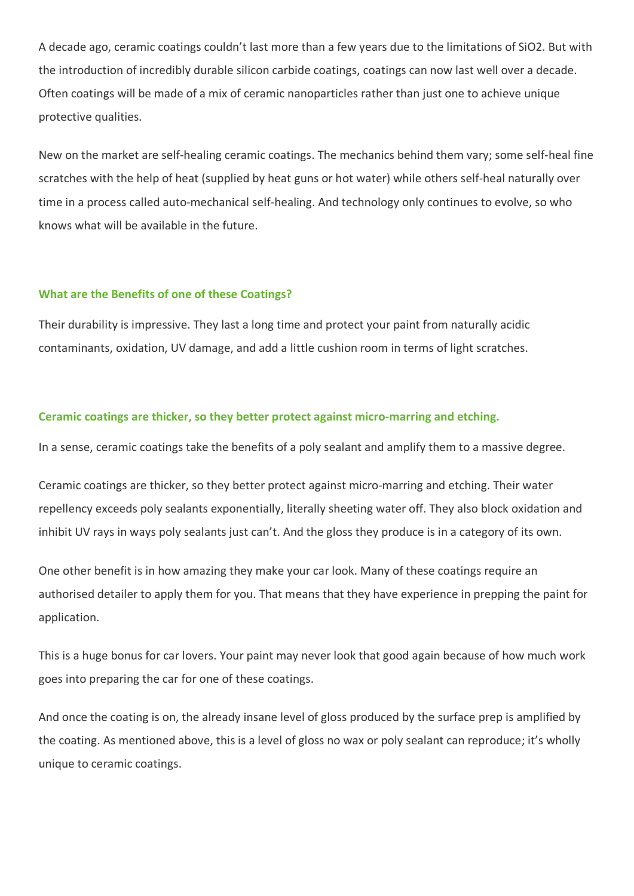A decade ago, ceramic coatings couldn't last more than a few years due to the limitations of SiO2. But with the introduction of incredibly durable silicon carbide coatings, coatings can now last well over a decade. Often coatings will be made of a mix of ceramic nanoparticles rather than just one to achieve unique protective qualities.

New on the market are self-healing ceramic coatings. The mechanics behind them vary; some self-heal fine scratches with the help of heat (supplied by heat guns or hot water) while others self-heal naturally over time in a process called auto-mechanical self-healing. And technology only continues to evolve, so who knows what will be available in the future.

### **What are the Benefits of one of these Coatings?**

Their durability is impressive. They last a long time and protect your paint from naturally acidic contaminants, oxidation, UV damage, and add a little cushion room in terms of light scratches.

### **Ceramic coatings are thicker, so they better protect against micro-marring and etching.**

In a sense, ceramic coatings take the benefits of a poly sealant and amplify them to a massive degree.

Ceramic coatings are thicker, so they better protect against micro-marring and etching. Their water repellency exceeds poly sealants exponentially, literally sheeting water off. They also block oxidation and inhibit UV rays in ways poly sealants just can't. And the gloss they produce is in a category of its own.

One other benefit is in how amazing they make your car look. Many of these coatings require an authorised detailer to apply them for you. That means that they have experience in prepping the paint for application.

This is a huge bonus for car lovers. Your paint may never look that good again because of how much work goes into preparing the car for one of these coatings.

And once the coating is on, the already insane level of gloss produced by the surface prep is amplified by the coating. As mentioned above, this is a level of gloss no wax or poly sealant can reproduce; it's wholly unique to ceramic coatings.